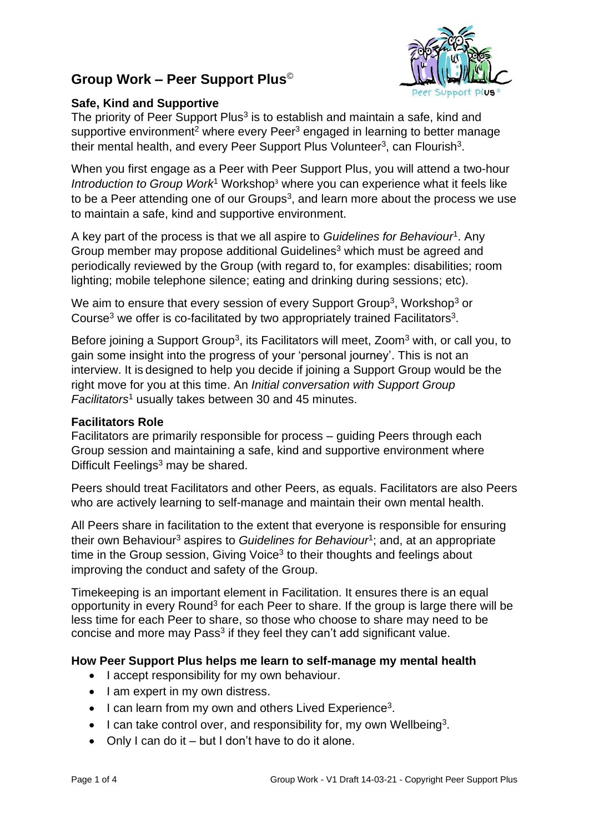# **Group Work – Peer Support Plus**©



# **Safe, Kind and Supportive**

The priority of Peer Support Plus<sup>3</sup> is to establish and maintain a safe, kind and supportive environment<sup>2</sup> where every Peer<sup>3</sup> engaged in learning to better manage their mental health, and every Peer Support Plus Volunteer<sup>3</sup>, can Flourish<sup>3</sup>.

When you first engage as a Peer with Peer Support Plus, you will attend a two-hour *Introduction to Group Work<sup>1</sup>* Workshop<sup>3</sup> where you can experience what it feels like to be a Peer attending one of our Groups<sup>3</sup>, and learn more about the process we use to maintain a safe, kind and supportive environment.

A key part of the process is that we all aspire to *Guidelines for Behaviour*<sup>1</sup> . Any Group member may propose additional Guidelines<sup>3</sup> which must be agreed and periodically reviewed by the Group (with regard to, for examples: disabilities; room lighting; mobile telephone silence; eating and drinking during sessions; etc).

We aim to ensure that every session of every Support Group<sup>3</sup>, Workshop<sup>3</sup> or Course<sup>3</sup> we offer is co-facilitated by two appropriately trained Facilitators<sup>3</sup>.

Before joining a Support Group<sup>3</sup>, its Facilitators will meet, Zoom<sup>3</sup> with, or call you, to gain some insight into the progress of your 'personal journey'. This is not an interview. It is designed to help you decide if joining a Support Group would be the right move for you at this time. An *Initial conversation with Support Group Facilitators*<sup>1</sup> usually takes between 30 and 45 minutes.

## **Facilitators Role**

Facilitators are primarily responsible for process – guiding Peers through each Group session and maintaining a safe, kind and supportive environment where Difficult Feelings<sup>3</sup> may be shared.

Peers should treat Facilitators and other Peers, as equals. Facilitators are also Peers who are actively learning to self-manage and maintain their own mental health.

All Peers share in facilitation to the extent that everyone is responsible for ensuring their own Behaviour<sup>3</sup> aspires to *Guidelines for Behaviour*<sup>1</sup>; and, at an appropriate time in the Group session, Giving Voice<sup>3</sup> to their thoughts and feelings about improving the conduct and safety of the Group.

Timekeeping is an important element in Facilitation. It ensures there is an equal opportunity in every Round<sup>3</sup> for each Peer to share. If the group is large there will be less time for each Peer to share, so those who choose to share may need to be concise and more may Pass<sup>3</sup> if they feel they can't add significant value.

# **How Peer Support Plus helps me learn to self-manage my mental health**

- I accept responsibility for my own behaviour.
- I am expert in my own distress.
- I can learn from my own and others Lived Experience<sup>3</sup>.
- $\bullet$  I can take control over, and responsibility for, my own Wellbeing<sup>3</sup>.
- Only I can do it but I don't have to do it alone.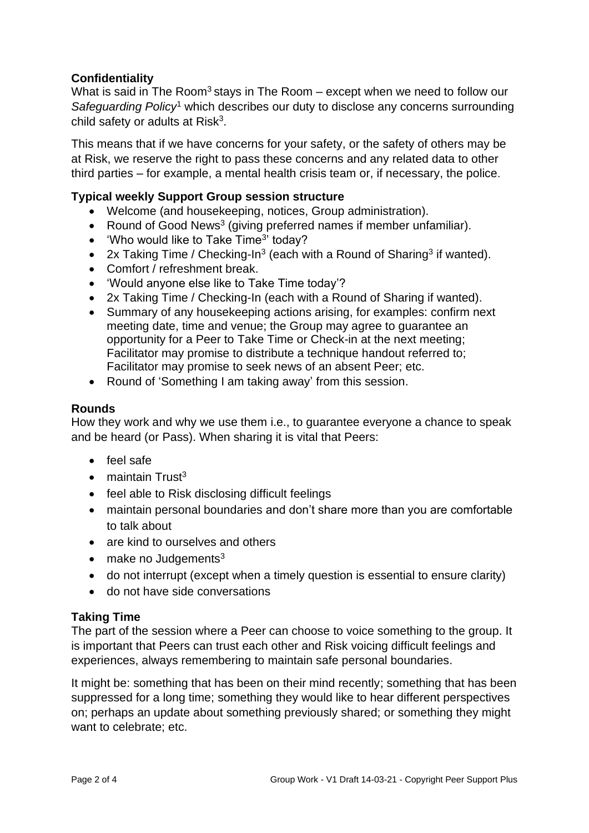# **Confidentiality**

What is said in The Room<sup>3</sup> stays in The Room – except when we need to follow our *Safeguarding Policy*<sup>1</sup> which describes our duty to disclose any concerns surrounding child safety or adults at Risk<sup>3</sup>.

This means that if we have concerns for your safety, or the safety of others may be at Risk, we reserve the right to pass these concerns and any related data to other third parties – for example, a mental health crisis team or, if necessary, the police.

# **Typical weekly Support Group session structure**

- Welcome (and housekeeping, notices, Group administration).
- Round of Good News<sup>3</sup> (giving preferred names if member unfamiliar).
- 'Who would like to Take Time<sup>3</sup>' today?
- 2x Taking Time / Checking-In<sup>3</sup> (each with a Round of Sharing<sup>3</sup> if wanted).
- Comfort / refreshment break.
- 'Would anyone else like to Take Time today'?
- 2x Taking Time / Checking-In (each with a Round of Sharing if wanted).
- Summary of any housekeeping actions arising, for examples: confirm next meeting date, time and venue; the Group may agree to guarantee an opportunity for a Peer to Take Time or Check-in at the next meeting; Facilitator may promise to distribute a technique handout referred to; Facilitator may promise to seek news of an absent Peer; etc.
- Round of 'Something I am taking away' from this session.

# **Rounds**

How they work and why we use them i.e., to guarantee everyone a chance to speak and be heard (or Pass). When sharing it is vital that Peers:

- feel safe
- $\bullet$  maintain Trust<sup>3</sup>
- feel able to Risk disclosing difficult feelings
- maintain personal boundaries and don't share more than you are comfortable to talk about
- are kind to ourselves and others
- $\bullet$  make no Judgements<sup>3</sup>
- do not interrupt (except when a timely question is essential to ensure clarity)
- do not have side conversations

# **Taking Time**

The part of the session where a Peer can choose to voice something to the group. It is important that Peers can trust each other and Risk voicing difficult feelings and experiences, always remembering to maintain safe personal boundaries.

It might be: something that has been on their mind recently; something that has been suppressed for a long time; something they would like to hear different perspectives on; perhaps an update about something previously shared; or something they might want to celebrate; etc.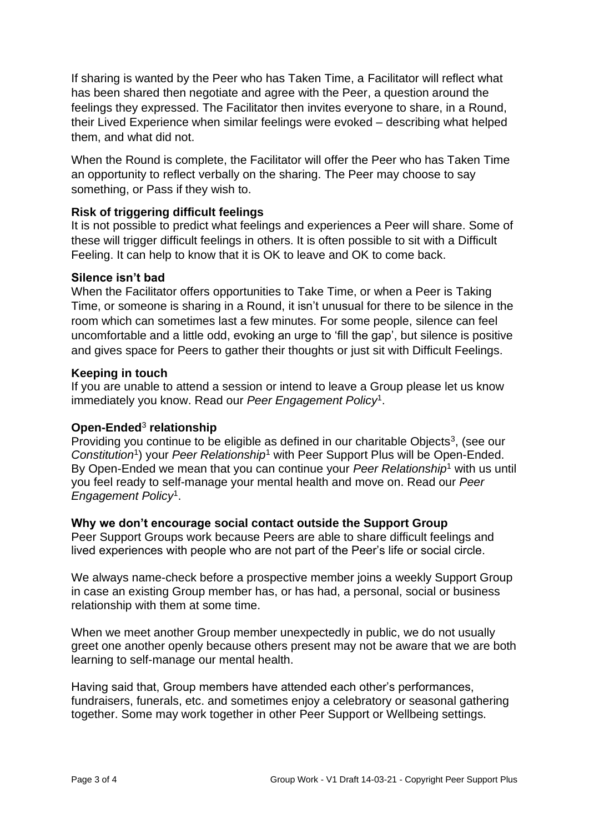If sharing is wanted by the Peer who has Taken Time, a Facilitator will reflect what has been shared then negotiate and agree with the Peer, a question around the feelings they expressed. The Facilitator then invites everyone to share, in a Round, their Lived Experience when similar feelings were evoked – describing what helped them, and what did not.

When the Round is complete, the Facilitator will offer the Peer who has Taken Time an opportunity to reflect verbally on the sharing. The Peer may choose to say something, or Pass if they wish to.

# **Risk of triggering difficult feelings**

It is not possible to predict what feelings and experiences a Peer will share. Some of these will trigger difficult feelings in others. It is often possible to sit with a Difficult Feeling. It can help to know that it is OK to leave and OK to come back.

# **Silence isn't bad**

When the Facilitator offers opportunities to Take Time, or when a Peer is Taking Time, or someone is sharing in a Round, it isn't unusual for there to be silence in the room which can sometimes last a few minutes. For some people, silence can feel uncomfortable and a little odd, evoking an urge to 'fill the gap', but silence is positive and gives space for Peers to gather their thoughts or just sit with Difficult Feelings.

#### **Keeping in touch**

If you are unable to attend a session or intend to leave a Group please let us know immediately you know. Read our *Peer Engagement Policy*<sup>1</sup> .

# **Open-Ended**<sup>3</sup> **relationship**

Providing you continue to be eligible as defined in our charitable Objects<sup>3</sup>, (see our Constitution<sup>1</sup>) your *Peer Relationship*<sup>1</sup> with Peer Support Plus will be Open-Ended. By Open-Ended we mean that you can continue your *Peer Relationship*<sup>1</sup> with us until you feel ready to self-manage your mental health and move on. Read our *Peer Engagement Policy*<sup>1</sup> .

#### **Why we don't encourage social contact outside the Support Group**

Peer Support Groups work because Peers are able to share difficult feelings and lived experiences with people who are not part of the Peer's life or social circle.

We always name-check before a prospective member joins a weekly Support Group in case an existing Group member has, or has had, a personal, social or business relationship with them at some time.

When we meet another Group member unexpectedly in public, we do not usually greet one another openly because others present may not be aware that we are both learning to self-manage our mental health.

Having said that, Group members have attended each other's performances, fundraisers, funerals, etc. and sometimes enjoy a celebratory or seasonal gathering together. Some may work together in other Peer Support or Wellbeing settings.